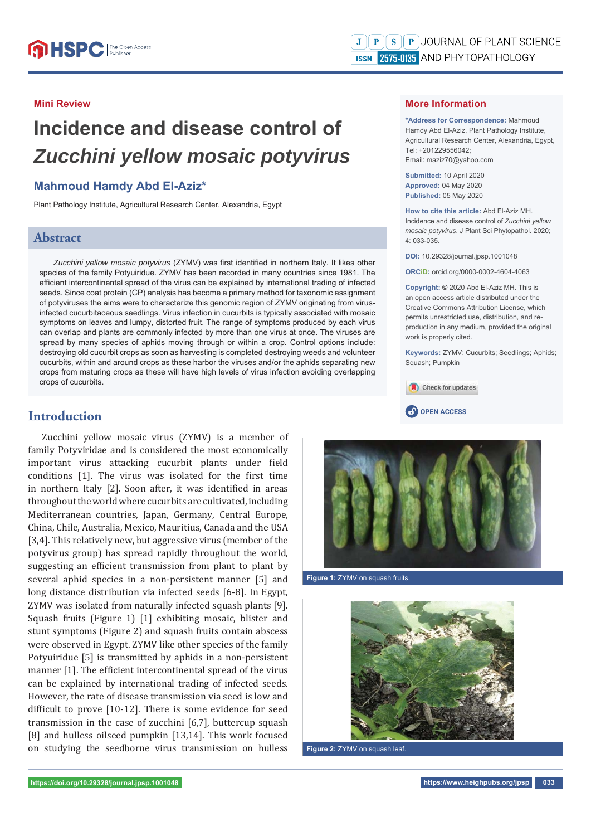# **Mini Review**

# **Incidence and disease control of**  *Zucchini yellow mosaic potyvirus*

# **Mahmoud Hamdy Abd El-Aziz\***

Plant Pathology Institute, Agricultural Research Center, Alexandria, Egypt

# **Abstract**

Zucchini yellow mosaic potyvirus (ZYMV) was first identified in northern Italy. It likes other species of the family Potyuiridue. ZYMV has been recorded in many countries since 1981. The efficient intercontinental spread of the virus can be explained by international trading of infected seeds. Since coat protein (CP) analysis has become a primary method for taxonomic assignment of potyviruses the aims were to characterize this genomic region of ZYMV originating from virusinfected cucurbitaceous seedlings. Virus infection in cucurbits is typically associated with mosaic symptoms on leaves and lumpy, distorted fruit. The range of symptoms produced by each virus can overlap and plants are commonly infected by more than one virus at once. The viruses are spread by many species of aphids moving through or within a crop. Control options include: destroying old cucurbit crops as soon as harvesting is completed destroying weeds and volunteer cucurbits, within and around crops as these harbor the viruses and/or the aphids separating new crops from maturing crops as these will have high levels of virus infection avoiding overlapping crops of cucurbits.

Zucchini yellow mosaic virus (ZYMV) is a member of family Potyviridae and is considered the most economically important virus attacking cucurbit plants under field conditions [1]. The virus was isolated for the first time in northern Italy [2]. Soon after, it was identified in areas throughout the world where cucurbits are cultivated, including Mediterranean countries, Japan, Germany, Central Europe, China, Chile, Australia, Mexico, Mauritius, Canada and the USA [3,4]. This relatively new, but aggressive virus (member of the potyvirus group) has spread rapidly throughout the world, suggesting an efficient transmission from plant to plant by several aphid species in a non-persistent manner [5] and long distance distribution via infected seeds [6-8]. In Egypt, ZYMV was isolated from naturally infected squash plants [9]. Squash fruits (Figure 1) [1] exhibiting mosaic, blister and stunt symptoms (Figure 2) and squash fruits contain abscess were observed in Egypt. ZYMV like other species of the family Potyuiridue [5] is transmitted by aphids in a non-persistent manner [1]. The efficient intercontinental spread of the virus can be explained by international trading of infected seeds. However, the rate of disease transmission via seed is low and difficult to prove  $[10-12]$ . There is some evidence for seed transmission in the case of zucchini [6,7], buttercup squash [8] and hulless oilseed pumpkin [13,14]. This work focused on studying the seedborne virus transmission on hulless

## **More Information**

**\*Address for Correspondence:** Mahmoud Hamdy Abd El-Aziz, Plant Pathology Institute, Agricultural Research Center, Alexandria, Egypt, Tel: +201229556042; Email: maziz70@yahoo.com

**Submitted:** 10 April 2020 **Approved:** 04 May 2020 **Published:** 05 May 2020

**How to cite this article:** Abd El-Aziz MH. Incidence and disease control of *Zucchini yellow mosaic potyvirus*. J Plant Sci Phytopathol. 2020; 4: 033-035.

**DOI:** 10.29328/journal.jpsp.1001048

**ORCiD:** orcid.org/0000-0002-4604-4063

**Copyright: ©** 2020 Abd El-Aziz MH. This is an open access article distributed under the Creative Commons Attribution License, which permits unrestricted use, distribution, and reproduction in any medium, provided the original work is properly cited.

**Keywords:** ZYMV; Cucurbits; Seedlings; Aphids; Squash; Pumpkin







**Figure 1:** ZYMV on squash fruits.



**Figure 2:** ZYMV on squash leaf.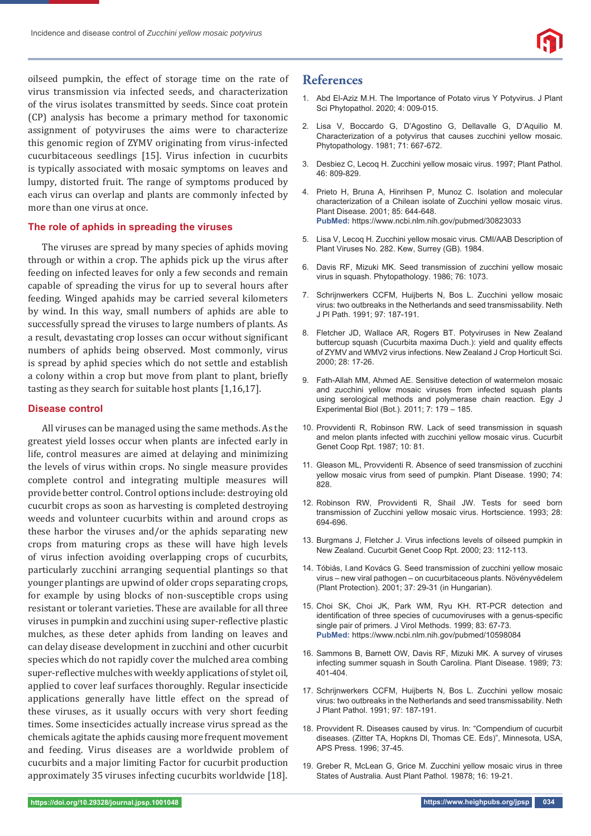

oilseed pumpkin, the effect of storage time on the rate of virus transmission via infected seeds, and characterization of the virus isolates transmitted by seeds. Since coat protein (CP) analysis has become a primary method for taxonomic assignment of potyviruses the aims were to characterize this genomic region of ZYMV originating from virus-infected cucurbitaceous seedlings [15]. Virus infection in cucurbits is typically associated with mosaic symptoms on leaves and lumpy, distorted fruit. The range of symptoms produced by each virus can overlap and plants are commonly infected by more than one virus at once.

### **The role of aphids in spreading the viruses**

The viruses are spread by many species of aphids moving through or within a crop. The aphids pick up the virus after feeding on infected leaves for only a few seconds and remain capable of spreading the virus for up to several hours after feeding. Winged apahids may be carried several kilometers by wind. In this way, small numbers of aphids are able to successfully spread the viruses to large numbers of plants. As a result, devastating crop losses can occur without significant numbers of aphids being observed. Most commonly, virus is spread by aphid species which do not settle and establish a colony within a crop but move from plant to plant, briefly tasting as they search for suitable host plants [1,16,17].

### **Disease control**

All viruses can be managed using the same methods. As the greatest yield losses occur when plants are infected early in life, control measures are aimed at delaying and minimizing the levels of virus within crops. No single measure provides complete control and integrating multiple measures will provide better control. Control options include: destroying old cucurbit crops as soon as harvesting is completed destroying weeds and volunteer cucurbits within and around crops as these harbor the viruses and/or the aphids separating new crops from maturing crops as these will have high levels of virus infection avoiding overlapping crops of cucurbits, particularly zucchini arranging sequential plantings so that younger plantings are upwind of older crops separating crops, for example by using blocks of non-susceptible crops using resistant or tolerant varieties. These are available for all three viruses in pumpkin and zucchini using super-reflective plastic mulches, as these deter aphids from landing on leaves and can delay disease development in zucchini and other cucurbit species which do not rapidly cover the mulched area combing super-reflective mulches with weekly applications of stylet oil, applied to cover leaf surfaces thoroughly. Regular insecticide applications generally have little effect on the spread of these viruses, as it usually occurs with very short feeding times. Some insecticides actually increase virus spread as the chemicals agitate the aphids causing more frequent movement and feeding. Virus diseases are a worldwide problem of cucurbits and a major limiting Factor for cucurbit production approximately 35 viruses infecting cucurbits worldwide [18].

# **References**

- 1. Abd El-Aziz M.H. The Importance of Potato virus Y Potyvirus. J Plant Sci Phytopathol. 2020; 4: 009-015.
- 2. Lisa V, Boccardo G, D'Agostino G, Dellavalle G, D'Aquilio M. Characterization of a potyvirus that causes zucchini yellow mosaic. Phytopathology. 1981; 71: 667-672.
- 3. Desbiez C, Lecoq H. Zucchini yellow mosaic virus. 1997; Plant Pathol. 46: 809-829.
- 4. Prieto H, Bruna A, Hinrihsen P, Munoz C. Isolation and molecular characterization of a Chilean isolate of Zucchini yellow mosaic virus. Plant Disease. 2001; 85: 644-648. **PubMed:** https://www.ncbi.nlm.nih.gov/pubmed/30823033
- 5. Lisa V, Lecoq H. Zucchini yellow mosaic virus. CMI/AAB Description of Plant Viruses No. 282. Kew, Surrey (GB). 1984.
- 6. Davis RF, Mizuki MK. Seed transmission of zucchini yellow mosaic virus in squash. Phytopathology. 1986; 76: 1073.
- 7. Schrijnwerkers CCFM, Huijberts N, Bos L. Zucchini yellow mosaic virus: two outbreaks in the Netherlands and seed transmissability. Neth J Pl Path. 1991; 97: 187-191.
- 8. Fletcher JD, Wallace AR, Rogers BT. Potyviruses in New Zealand buttercup squash (Cucurbita maxima Duch.): yield and quality effects of ZYMV and WMV2 virus infections. New Zealand J Crop Horticult Sci. 2000; 28: 17-26.
- 9. Fath-Allah MM, Ahmed AE. Sensitive detection of watermelon mosaic and zucchini yellow mosaic viruses from infected squash plants using serological methods and polymerase chain reaction. Egy J Experimental Biol (Bot.). 2011; 7: 179 – 185.
- 10. Provvidenti R, Robinson RW. Lack of seed transmission in squash and melon plants infected with zucchini yellow mosaic virus. Cucurbit Genet Coop Rpt. 1987; 10: 81.
- 11. Gleason ML, Provvidenti R. Absence of seed transmission of zucchini yellow mosaic virus from seed of pumpkin. Plant Disease. 1990; 74: 828.
- 12. Robinson RW, Provvidenti R, Shail JW. Tests for seed born transmission of Zucchini yellow mosaic virus. Hortscience. 1993; 28: 694-696.
- 13. Burgmans J, Fletcher J. Virus infections levels of oilseed pumpkin in New Zealand. Cucurbit Genet Coop Rpt. 2000; 23: 112-113.
- 14. Tóbiás, I.and Kovács G. Seed transmission of zucchini yellow mosaic virus – new viral pathogen – on cucurbitaceous plants. Növényvédelem (Plant Protection). 2001; 37: 29-31 (in Hungarian).
- 15. Choi SK, Choi JK, Park WM, Ryu KH. RT-PCR detection and identification of three species of cucumoviruses with a genus-specific single pair of primers. J Virol Methods. 1999; 83: 67-73. **PubMed:** https://www.ncbi.nlm.nih.gov/pubmed/10598084
- 16. Sammons B, Barnett OW, Davis RF, Mizuki MK. A survey of viruses infecting summer squash in South Carolina. Plant Disease. 1989; 73: 401-404.
- 17. Schrijnwerkers CCFM, Huijberts N, Bos L. Zucchini yellow mosaic virus: two outbreaks in the Netherlands and seed transmissability. Neth J Plant Pathol. 1991; 97: 187-191.
- 18. Provvident R. Diseases caused by virus. In: "Compendium of cucurbit diseases. (Zitter TA, Hopkns Dl, Thomas CE. Eds)", Minnesota, USA, APS Press. 1996; 37-45.
- 19. Greber R, McLean G, Grice M. Zucchini yellow mosaic virus in three States of Australia. Aust Plant Pathol. 19878; 16: 19-21.